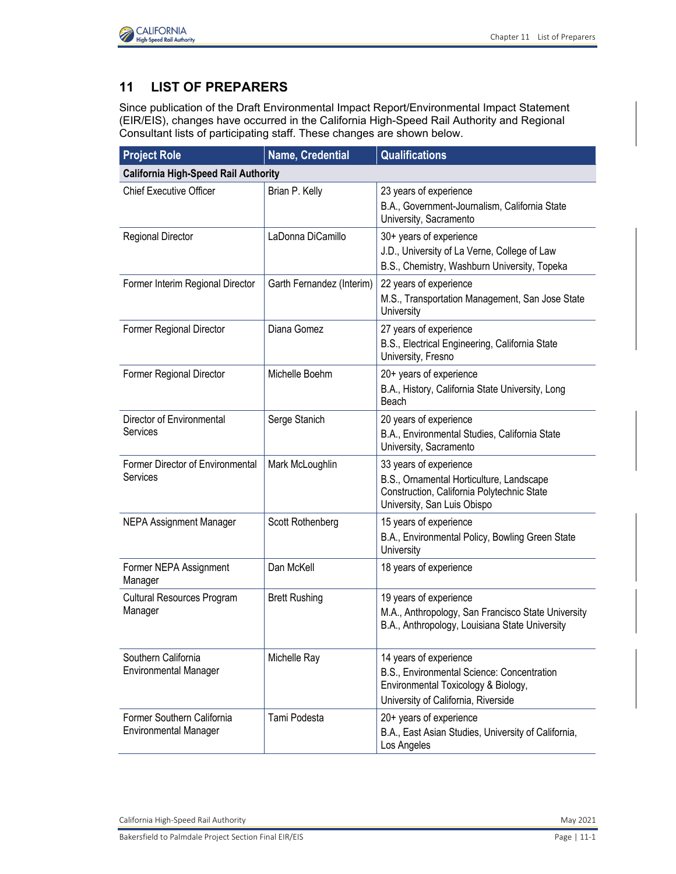

## **11 LIST OF PREPARERS**

Since publication of the Draft Environmental Impact Report/Environmental Impact Statement (EIR/EIS), changes have occurred in the California High-Speed Rail Authority and Regional Consultant lists of participating staff. These changes are shown below.

| <b>Project Role</b>                                        | Name, Credential          | <b>Qualifications</b>                                                                                                                              |
|------------------------------------------------------------|---------------------------|----------------------------------------------------------------------------------------------------------------------------------------------------|
| <b>California High-Speed Rail Authority</b>                |                           |                                                                                                                                                    |
| <b>Chief Executive Officer</b>                             | Brian P. Kelly            | 23 years of experience<br>B.A., Government-Journalism, California State<br>University, Sacramento                                                  |
| <b>Regional Director</b>                                   | LaDonna DiCamillo         | 30+ years of experience<br>J.D., University of La Verne, College of Law<br>B.S., Chemistry, Washburn University, Topeka                            |
| Former Interim Regional Director                           | Garth Fernandez (Interim) | 22 years of experience<br>M.S., Transportation Management, San Jose State<br>University                                                            |
| Former Regional Director                                   | Diana Gomez               | 27 years of experience<br>B.S., Electrical Engineering, California State<br>University, Fresno                                                     |
| Former Regional Director                                   | Michelle Boehm            | 20+ years of experience<br>B.A., History, California State University, Long<br>Beach                                                               |
| Director of Environmental<br>Services                      | Serge Stanich             | 20 years of experience<br>B.A., Environmental Studies, California State<br>University, Sacramento                                                  |
| Former Director of Environmental<br>Services               | Mark McLoughlin           | 33 years of experience<br>B.S., Ornamental Horticulture, Landscape<br>Construction, California Polytechnic State<br>University, San Luis Obispo    |
| <b>NEPA Assignment Manager</b>                             | Scott Rothenberg          | 15 years of experience<br>B.A., Environmental Policy, Bowling Green State<br>University                                                            |
| Former NEPA Assignment<br>Manager                          | Dan McKell                | 18 years of experience                                                                                                                             |
| <b>Cultural Resources Program</b><br>Manager               | <b>Brett Rushing</b>      | 19 years of experience<br>M.A., Anthropology, San Francisco State University<br>B.A., Anthropology, Louisiana State University                     |
| Southern California<br><b>Environmental Manager</b>        | Michelle Ray              | 14 years of experience<br>B.S., Environmental Science: Concentration<br>Environmental Toxicology & Biology,<br>University of California, Riverside |
| Former Southern California<br><b>Environmental Manager</b> | Tami Podesta              | 20+ years of experience<br>B.A., East Asian Studies, University of California,<br>Los Angeles                                                      |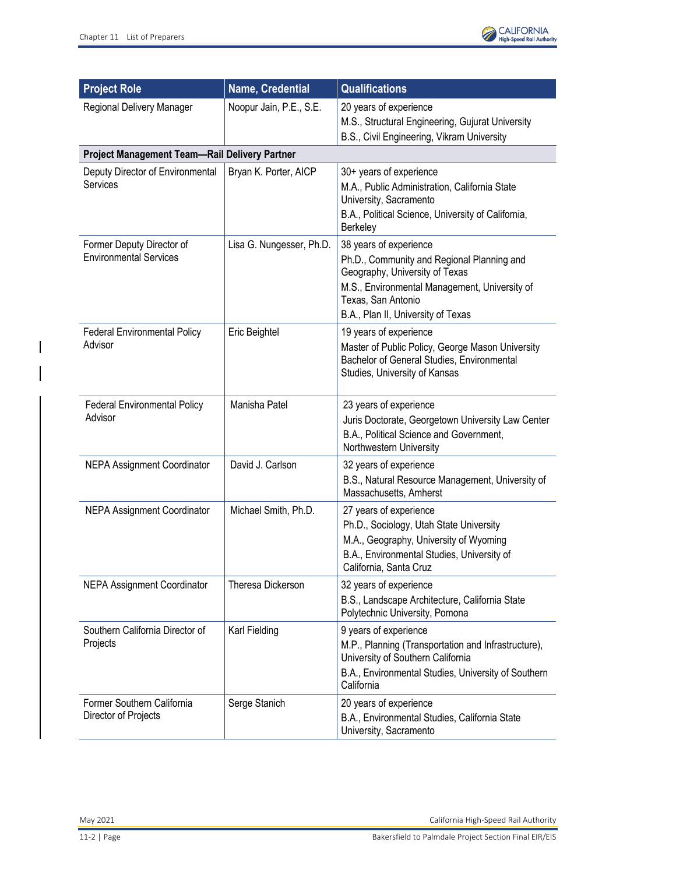$\overline{\phantom{a}}$ 



| <b>Project Role</b>                                        | Name, Credential         | <b>Qualifications</b>                                                                                                                                                                                               |
|------------------------------------------------------------|--------------------------|---------------------------------------------------------------------------------------------------------------------------------------------------------------------------------------------------------------------|
| Regional Delivery Manager                                  | Noopur Jain, P.E., S.E.  | 20 years of experience<br>M.S., Structural Engineering, Gujurat University<br>B.S., Civil Engineering, Vikram University                                                                                            |
| Project Management Team-Rail Delivery Partner              |                          |                                                                                                                                                                                                                     |
| Deputy Director of Environmental<br>Services               | Bryan K. Porter, AICP    | 30+ years of experience<br>M.A., Public Administration, California State<br>University, Sacramento<br>B.A., Political Science, University of California,<br>Berkeley                                                |
| Former Deputy Director of<br><b>Environmental Services</b> | Lisa G. Nungesser, Ph.D. | 38 years of experience<br>Ph.D., Community and Regional Planning and<br>Geography, University of Texas<br>M.S., Environmental Management, University of<br>Texas, San Antonio<br>B.A., Plan II, University of Texas |
| <b>Federal Environmental Policy</b><br>Advisor             | Eric Beightel            | 19 years of experience<br>Master of Public Policy, George Mason University<br>Bachelor of General Studies, Environmental<br>Studies, University of Kansas                                                           |
| <b>Federal Environmental Policy</b><br>Advisor             | Manisha Patel            | 23 years of experience<br>Juris Doctorate, Georgetown University Law Center<br>B.A., Political Science and Government,<br>Northwestern University                                                                   |
| <b>NEPA Assignment Coordinator</b>                         | David J. Carlson         | 32 years of experience<br>B.S., Natural Resource Management, University of<br>Massachusetts, Amherst                                                                                                                |
| <b>NEPA Assignment Coordinator</b>                         | Michael Smith, Ph.D.     | 27 years of experience<br>Ph.D., Sociology, Utah State University<br>M.A., Geography, University of Wyoming<br>B.A., Environmental Studies, University of<br>California, Santa Cruz                                 |
| <b>NEPA Assignment Coordinator</b>                         | Theresa Dickerson        | 32 years of experience<br>B.S., Landscape Architecture, California State<br>Polytechnic University, Pomona                                                                                                          |
| Southern California Director of<br>Projects                | Karl Fielding            | 9 years of experience<br>M.P., Planning (Transportation and Infrastructure),<br>University of Southern California<br>B.A., Environmental Studies, University of Southern<br>California                              |
| Former Southern California<br>Director of Projects         | Serge Stanich            | 20 years of experience<br>B.A., Environmental Studies, California State<br>University, Sacramento                                                                                                                   |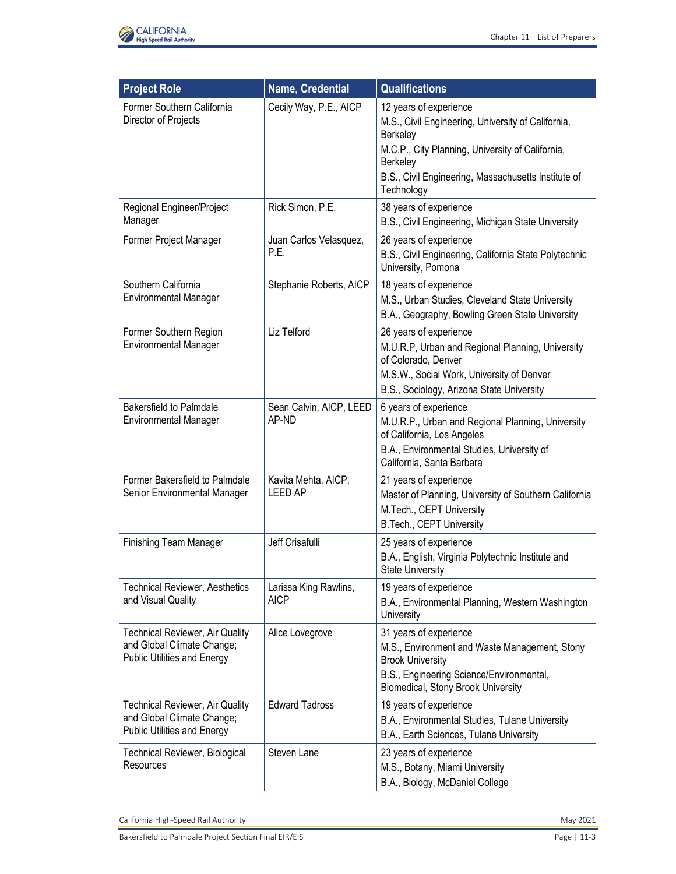

| <b>Project Role</b>                                                                                        | Name, Credential                      | <b>Qualifications</b>                                                                                                                                                                                                         |
|------------------------------------------------------------------------------------------------------------|---------------------------------------|-------------------------------------------------------------------------------------------------------------------------------------------------------------------------------------------------------------------------------|
| Former Southern California<br>Director of Projects                                                         | Cecily Way, P.E., AICP                | 12 years of experience<br>M.S., Civil Engineering, University of California,<br>Berkeley<br>M.C.P., City Planning, University of California,<br>Berkeley<br>B.S., Civil Engineering, Massachusetts Institute of<br>Technology |
| Regional Engineer/Project<br>Manager                                                                       | Rick Simon, P.E.                      | 38 years of experience<br>B.S., Civil Engineering, Michigan State University                                                                                                                                                  |
| Former Project Manager                                                                                     | Juan Carlos Velasquez,<br>P.E.        | 26 years of experience<br>B.S., Civil Engineering, California State Polytechnic<br>University, Pomona                                                                                                                         |
| Southern California<br><b>Environmental Manager</b>                                                        | Stephanie Roberts, AICP               | 18 years of experience<br>M.S., Urban Studies, Cleveland State University<br>B.A., Geography, Bowling Green State University                                                                                                  |
| Former Southern Region<br><b>Environmental Manager</b>                                                     | Liz Telford                           | 26 years of experience<br>M.U.R.P, Urban and Regional Planning, University<br>of Colorado, Denver<br>M.S.W., Social Work, University of Denver<br>B.S., Sociology, Arizona State University                                   |
| <b>Bakersfield to Palmdale</b><br><b>Environmental Manager</b>                                             | Sean Calvin, AICP, LEED<br>AP-ND      | 6 years of experience<br>M.U.R.P., Urban and Regional Planning, University<br>of California, Los Angeles<br>B.A., Environmental Studies, University of<br>California, Santa Barbara                                           |
| Former Bakersfield to Palmdale<br>Senior Environmental Manager                                             | Kavita Mehta, AICP,<br><b>LEED AP</b> | 21 years of experience<br>Master of Planning, University of Southern California<br>M.Tech., CEPT University<br>B.Tech., CEPT University                                                                                       |
| <b>Finishing Team Manager</b>                                                                              | Jeff Crisafulli                       | 25 years of experience<br>B.A., English, Virginia Polytechnic Institute and<br><b>State University</b>                                                                                                                        |
| <b>Technical Reviewer, Aesthetics</b><br>and Visual Quality                                                | Larissa King Rawlins,<br><b>AICP</b>  | 19 years of experience<br>B.A., Environmental Planning, Western Washington<br>University                                                                                                                                      |
| <b>Technical Reviewer, Air Quality</b><br>and Global Climate Change;<br><b>Public Utilities and Energy</b> | Alice Lovegrove                       | 31 years of experience<br>M.S., Environment and Waste Management, Stony<br><b>Brook University</b><br>B.S., Engineering Science/Environmental,<br>Biomedical, Stony Brook University                                          |
| <b>Technical Reviewer, Air Quality</b><br>and Global Climate Change;<br><b>Public Utilities and Energy</b> | <b>Edward Tadross</b>                 | 19 years of experience<br>B.A., Environmental Studies, Tulane University<br>B.A., Earth Sciences, Tulane University                                                                                                           |
| <b>Technical Reviewer, Biological</b><br>Resources                                                         | Steven Lane                           | 23 years of experience<br>M.S., Botany, Miami University<br>B.A., Biology, McDaniel College                                                                                                                                   |

Bakersfield to Palmdale Project Section Final EIR/EIS Page 11-3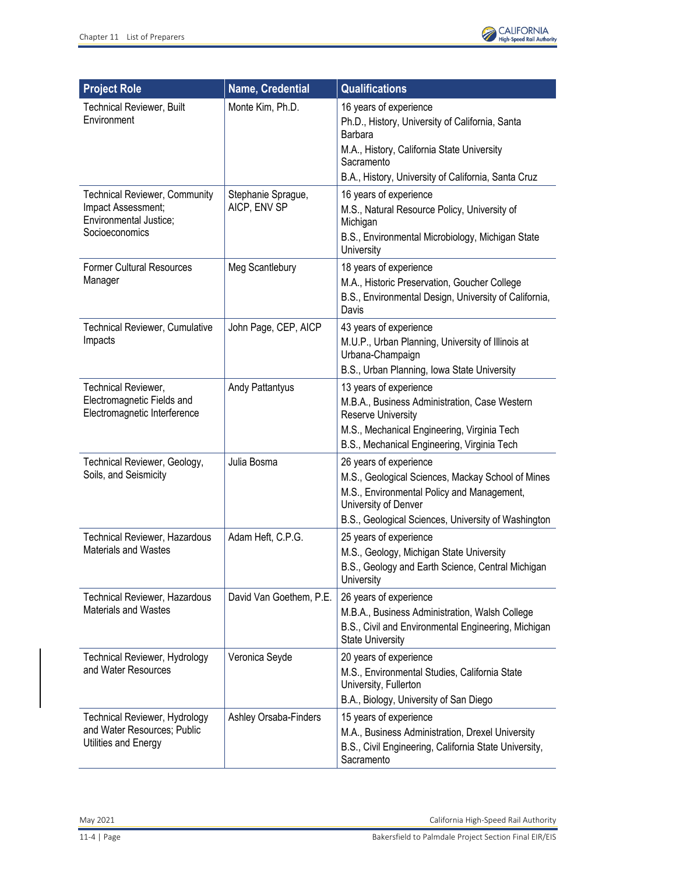

| <b>Project Role</b>                                                                                    | Name, Credential                   | <b>Qualifications</b>                                                                                                                                                                                    |
|--------------------------------------------------------------------------------------------------------|------------------------------------|----------------------------------------------------------------------------------------------------------------------------------------------------------------------------------------------------------|
| <b>Technical Reviewer, Built</b><br>Environment                                                        | Monte Kim, Ph.D.                   | 16 years of experience<br>Ph.D., History, University of California, Santa<br>Barbara<br>M.A., History, California State University<br>Sacramento<br>B.A., History, University of California, Santa Cruz  |
| <b>Technical Reviewer, Community</b><br>Impact Assessment;<br>Environmental Justice;<br>Socioeconomics | Stephanie Sprague,<br>AICP, ENV SP | 16 years of experience<br>M.S., Natural Resource Policy, University of<br>Michigan<br>B.S., Environmental Microbiology, Michigan State<br>University                                                     |
| <b>Former Cultural Resources</b><br>Manager                                                            | Meg Scantlebury                    | 18 years of experience<br>M.A., Historic Preservation, Goucher College<br>B.S., Environmental Design, University of California,<br>Davis                                                                 |
| Technical Reviewer, Cumulative<br>Impacts                                                              | John Page, CEP, AICP               | 43 years of experience<br>M.U.P., Urban Planning, University of Illinois at<br>Urbana-Champaign<br>B.S., Urban Planning, Iowa State University                                                           |
| Technical Reviewer,<br>Electromagnetic Fields and<br>Electromagnetic Interference                      | <b>Andy Pattantyus</b>             | 13 years of experience<br>M.B.A., Business Administration, Case Western<br>Reserve University<br>M.S., Mechanical Engineering, Virginia Tech<br>B.S., Mechanical Engineering, Virginia Tech              |
| Technical Reviewer, Geology,<br>Soils, and Seismicity                                                  | Julia Bosma                        | 26 years of experience<br>M.S., Geological Sciences, Mackay School of Mines<br>M.S., Environmental Policy and Management,<br>University of Denver<br>B.S., Geological Sciences, University of Washington |
| Technical Reviewer, Hazardous<br><b>Materials and Wastes</b>                                           | Adam Heft, C.P.G.                  | 25 years of experience<br>M.S., Geology, Michigan State University<br>B.S., Geology and Earth Science, Central Michigan<br>University                                                                    |
| <b>Technical Reviewer, Hazardous</b><br>Materials and Wastes                                           | David Van Goethem, P.E.            | 26 years of experience<br>M.B.A., Business Administration, Walsh College<br>B.S., Civil and Environmental Engineering, Michigan<br><b>State University</b>                                               |
| <b>Technical Reviewer, Hydrology</b><br>and Water Resources                                            | Veronica Seyde                     | 20 years of experience<br>M.S., Environmental Studies, California State<br>University, Fullerton<br>B.A., Biology, University of San Diego                                                               |
| Technical Reviewer, Hydrology<br>and Water Resources; Public<br>Utilities and Energy                   | Ashley Orsaba-Finders              | 15 years of experience<br>M.A., Business Administration, Drexel University<br>B.S., Civil Engineering, California State University,<br>Sacramento                                                        |

May 2021 California High-Speed Rail Authority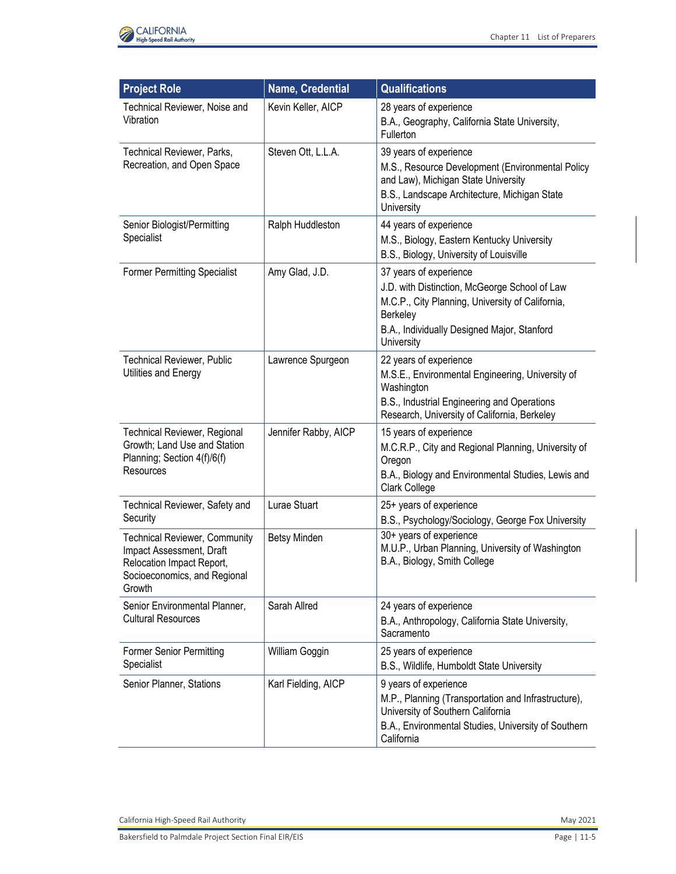

| <b>Project Role</b>                                                                                                                     | Name, Credential     | Qualifications                                                                                                                                                                                              |
|-----------------------------------------------------------------------------------------------------------------------------------------|----------------------|-------------------------------------------------------------------------------------------------------------------------------------------------------------------------------------------------------------|
| Technical Reviewer, Noise and<br>Vibration                                                                                              | Kevin Keller, AICP   | 28 years of experience<br>B.A., Geography, California State University,<br>Fullerton                                                                                                                        |
| Technical Reviewer, Parks,<br>Recreation, and Open Space                                                                                | Steven Ott, L.L.A.   | 39 years of experience<br>M.S., Resource Development (Environmental Policy<br>and Law), Michigan State University<br>B.S., Landscape Architecture, Michigan State<br>University                             |
| Senior Biologist/Permitting<br>Specialist                                                                                               | Ralph Huddleston     | 44 years of experience<br>M.S., Biology, Eastern Kentucky University<br>B.S., Biology, University of Louisville                                                                                             |
| <b>Former Permitting Specialist</b>                                                                                                     | Amy Glad, J.D.       | 37 years of experience<br>J.D. with Distinction, McGeorge School of Law<br>M.C.P., City Planning, University of California,<br><b>Berkeley</b><br>B.A., Individually Designed Major, Stanford<br>University |
| Technical Reviewer, Public<br>Utilities and Energy                                                                                      | Lawrence Spurgeon    | 22 years of experience<br>M.S.E., Environmental Engineering, University of<br>Washington<br>B.S., Industrial Engineering and Operations<br>Research, University of California, Berkeley                     |
| <b>Technical Reviewer, Regional</b><br>Growth; Land Use and Station<br>Planning; Section 4(f)/6(f)<br>Resources                         | Jennifer Rabby, AICP | 15 years of experience<br>M.C.R.P., City and Regional Planning, University of<br>Oregon<br>B.A., Biology and Environmental Studies, Lewis and<br>Clark College                                              |
| Technical Reviewer, Safety and<br>Security                                                                                              | Lurae Stuart         | 25+ years of experience<br>B.S., Psychology/Sociology, George Fox University                                                                                                                                |
| <b>Technical Reviewer, Community</b><br>Impact Assessment, Draft<br>Relocation Impact Report,<br>Socioeconomics, and Regional<br>Growth | Betsy Minden         | 30+ years of experience<br>M.U.P., Urban Planning, University of Washington<br>B.A., Biology, Smith College                                                                                                 |
| Senior Environmental Planner,<br><b>Cultural Resources</b>                                                                              | Sarah Allred         | 24 years of experience<br>B.A., Anthropology, California State University,<br>Sacramento                                                                                                                    |
| <b>Former Senior Permitting</b><br>Specialist                                                                                           | William Goggin       | 25 years of experience<br>B.S., Wildlife, Humboldt State University                                                                                                                                         |
| Senior Planner, Stations                                                                                                                | Karl Fielding, AICP  | 9 years of experience<br>M.P., Planning (Transportation and Infrastructure),<br>University of Southern California<br>B.A., Environmental Studies, University of Southern<br>California                      |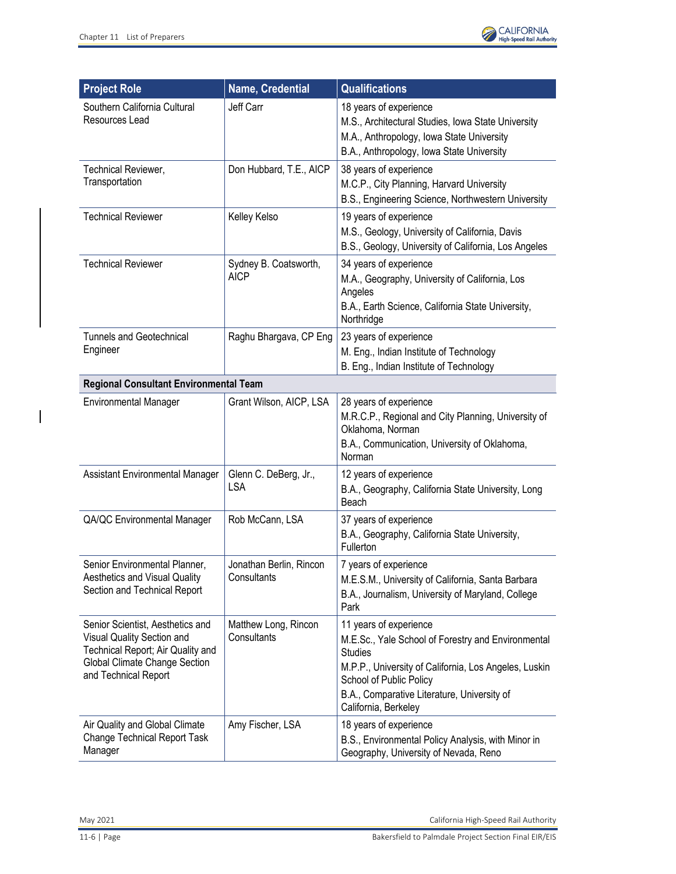

| <b>Project Role</b>                                                                                                                                          | <b>Name, Credential</b>                | <b>Qualifications</b>                                                                                                                                                                                                                                     |
|--------------------------------------------------------------------------------------------------------------------------------------------------------------|----------------------------------------|-----------------------------------------------------------------------------------------------------------------------------------------------------------------------------------------------------------------------------------------------------------|
| Southern California Cultural<br>Resources Lead                                                                                                               | Jeff Carr                              | 18 years of experience<br>M.S., Architectural Studies, Iowa State University<br>M.A., Anthropology, Iowa State University<br>B.A., Anthropology, Iowa State University                                                                                    |
| Technical Reviewer,<br>Transportation                                                                                                                        | Don Hubbard, T.E., AICP                | 38 years of experience<br>M.C.P., City Planning, Harvard University<br>B.S., Engineering Science, Northwestern University                                                                                                                                 |
| <b>Technical Reviewer</b>                                                                                                                                    | Kelley Kelso                           | 19 years of experience<br>M.S., Geology, University of California, Davis<br>B.S., Geology, University of California, Los Angeles                                                                                                                          |
| <b>Technical Reviewer</b>                                                                                                                                    | Sydney B. Coatsworth,<br><b>AICP</b>   | 34 years of experience<br>M.A., Geography, University of California, Los<br>Angeles<br>B.A., Earth Science, California State University,<br>Northridge                                                                                                    |
| <b>Tunnels and Geotechnical</b><br>Engineer                                                                                                                  | Raghu Bhargava, CP Eng                 | 23 years of experience<br>M. Eng., Indian Institute of Technology<br>B. Eng., Indian Institute of Technology                                                                                                                                              |
| <b>Regional Consultant Environmental Team</b>                                                                                                                |                                        |                                                                                                                                                                                                                                                           |
| <b>Environmental Manager</b>                                                                                                                                 | Grant Wilson, AICP, LSA                | 28 years of experience<br>M.R.C.P., Regional and City Planning, University of<br>Oklahoma, Norman<br>B.A., Communication, University of Oklahoma,<br>Norman                                                                                               |
| Assistant Environmental Manager                                                                                                                              | Glenn C. DeBerg, Jr.,<br>LSA           | 12 years of experience<br>B.A., Geography, California State University, Long<br>Beach                                                                                                                                                                     |
| QA/QC Environmental Manager                                                                                                                                  | Rob McCann, LSA                        | 37 years of experience<br>B.A., Geography, California State University,<br>Fullerton                                                                                                                                                                      |
| Senior Environmental Planner,<br>Aesthetics and Visual Quality<br>Section and Technical Report                                                               | Jonathan Berlin, Rincon<br>Consultants | 7 years of experience<br>M.E.S.M., University of California, Santa Barbara<br>B.A., Journalism, University of Maryland, College<br>Park                                                                                                                   |
| Senior Scientist, Aesthetics and<br>Visual Quality Section and<br>Technical Report; Air Quality and<br>Global Climate Change Section<br>and Technical Report | Matthew Long, Rincon<br>Consultants    | 11 years of experience<br>M.E.Sc., Yale School of Forestry and Environmental<br><b>Studies</b><br>M.P.P., University of California, Los Angeles, Luskin<br>School of Public Policy<br>B.A., Comparative Literature, University of<br>California, Berkeley |
| Air Quality and Global Climate<br><b>Change Technical Report Task</b><br>Manager                                                                             | Amy Fischer, LSA                       | 18 years of experience<br>B.S., Environmental Policy Analysis, with Minor in<br>Geography, University of Nevada, Reno                                                                                                                                     |

 $\begin{array}{c} \hline \end{array}$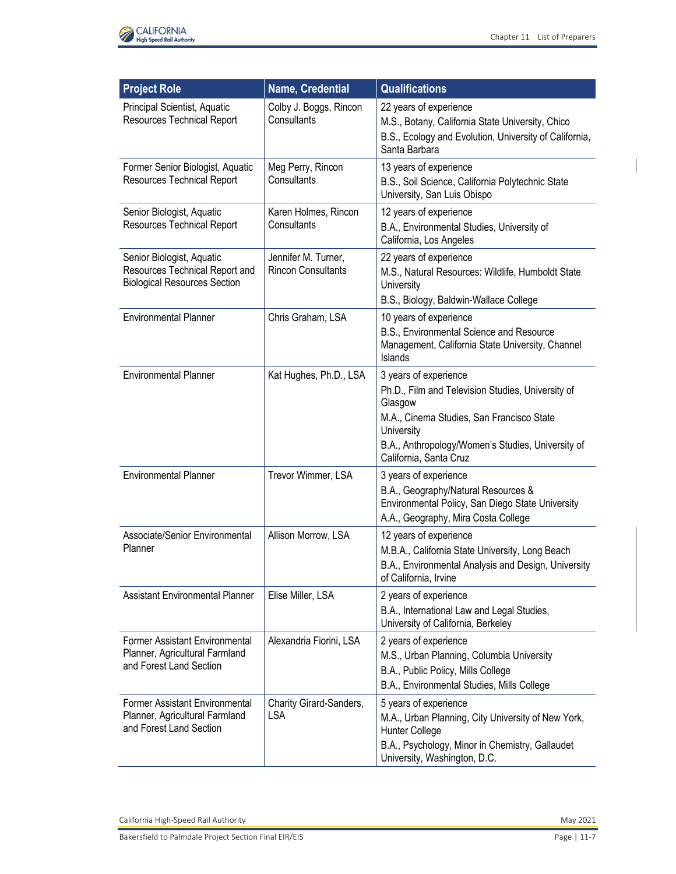

| <b>Project Role</b>                                                                                | Name, Credential                                 | <b>Qualifications</b>                                                                                                                                                            |
|----------------------------------------------------------------------------------------------------|--------------------------------------------------|----------------------------------------------------------------------------------------------------------------------------------------------------------------------------------|
| Principal Scientist, Aquatic<br><b>Resources Technical Report</b>                                  | Colby J. Boggs, Rincon<br>Consultants            | 22 years of experience<br>M.S., Botany, California State University, Chico<br>B.S., Ecology and Evolution, University of California,<br>Santa Barbara                            |
| Former Senior Biologist, Aquatic<br><b>Resources Technical Report</b>                              | Meg Perry, Rincon<br>Consultants                 | 13 years of experience<br>B.S., Soil Science, California Polytechnic State<br>University, San Luis Obispo                                                                        |
| Senior Biologist, Aquatic<br><b>Resources Technical Report</b>                                     | Karen Holmes, Rincon<br>Consultants              | 12 years of experience<br>B.A., Environmental Studies, University of<br>California, Los Angeles                                                                                  |
| Senior Biologist, Aquatic<br>Resources Technical Report and<br><b>Biological Resources Section</b> | Jennifer M. Turner,<br><b>Rincon Consultants</b> | 22 years of experience<br>M.S., Natural Resources: Wildlife, Humboldt State<br>University<br>B.S., Biology, Baldwin-Wallace College                                              |
| <b>Environmental Planner</b>                                                                       | Chris Graham, LSA                                | 10 years of experience<br>B.S., Environmental Science and Resource<br>Management, California State University, Channel<br>Islands                                                |
| <b>Environmental Planner</b>                                                                       | Kat Hughes, Ph.D., LSA                           | 3 years of experience<br>Ph.D., Film and Television Studies, University of<br>Glasgow<br>M.A., Cinema Studies, San Francisco State                                               |
|                                                                                                    |                                                  | University<br>B.A., Anthropology/Women's Studies, University of<br>California, Santa Cruz                                                                                        |
| <b>Environmental Planner</b>                                                                       | Trevor Wimmer, LSA                               | 3 years of experience<br>B.A., Geography/Natural Resources &<br>Environmental Policy, San Diego State University<br>A.A., Geography, Mira Costa College                          |
| Associate/Senior Environmental<br>Planner                                                          | Allison Morrow, LSA                              | 12 years of experience<br>M.B.A., California State University, Long Beach<br>B.A., Environmental Analysis and Design, University<br>of California, Irvine                        |
| <b>Assistant Environmental Planner</b>                                                             | Elise Miller, LSA                                | 2 years of experience<br>B.A., International Law and Legal Studies,<br>University of California, Berkeley                                                                        |
| Former Assistant Environmental<br>Planner, Agricultural Farmland<br>and Forest Land Section        | Alexandria Fiorini, LSA                          | 2 years of experience<br>M.S., Urban Planning, Columbia University<br>B.A., Public Policy, Mills College<br>B.A., Environmental Studies, Mills College                           |
| <b>Former Assistant Environmental</b><br>Planner, Agricultural Farmland<br>and Forest Land Section | Charity Girard-Sanders,<br><b>LSA</b>            | 5 years of experience<br>M.A., Urban Planning, City University of New York,<br>Hunter College<br>B.A., Psychology, Minor in Chemistry, Gallaudet<br>University, Washington, D.C. |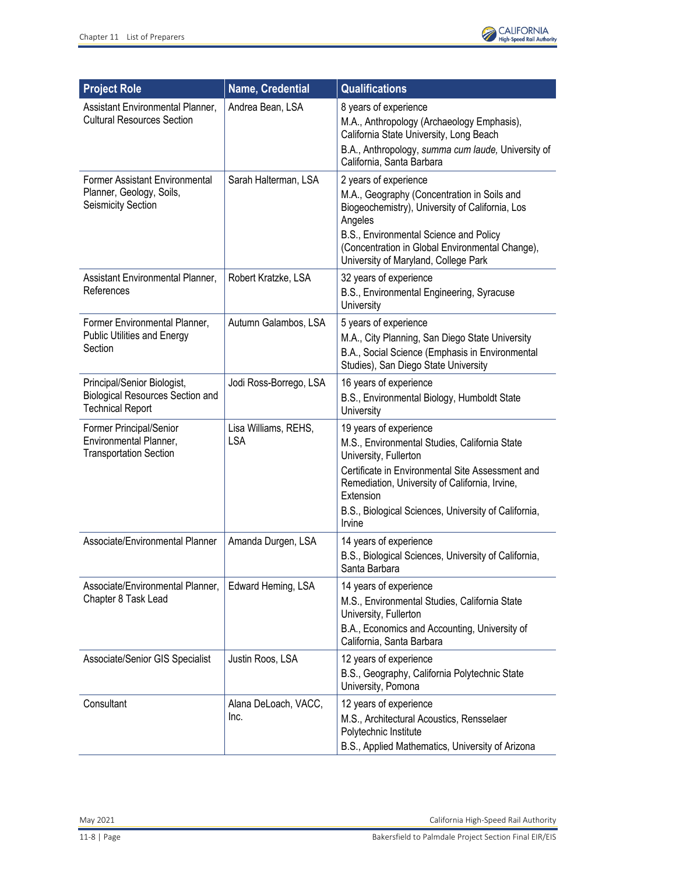

| <b>Project Role</b>                                                                               | Name, Credential                   | <b>Qualifications</b>                                                                                                                                                                                                                                                                 |
|---------------------------------------------------------------------------------------------------|------------------------------------|---------------------------------------------------------------------------------------------------------------------------------------------------------------------------------------------------------------------------------------------------------------------------------------|
| Assistant Environmental Planner,<br><b>Cultural Resources Section</b>                             | Andrea Bean, LSA                   | 8 years of experience<br>M.A., Anthropology (Archaeology Emphasis),<br>California State University, Long Beach<br>B.A., Anthropology, summa cum laude, University of<br>California, Santa Barbara                                                                                     |
| <b>Former Assistant Environmental</b><br>Planner, Geology, Soils,<br><b>Seismicity Section</b>    | Sarah Halterman, LSA               | 2 years of experience<br>M.A., Geography (Concentration in Soils and<br>Biogeochemistry), University of California, Los<br>Angeles<br>B.S., Environmental Science and Policy<br>(Concentration in Global Environmental Change),<br>University of Maryland, College Park               |
| Assistant Environmental Planner,<br>References                                                    | Robert Kratzke, LSA                | 32 years of experience<br>B.S., Environmental Engineering, Syracuse<br>University                                                                                                                                                                                                     |
| Former Environmental Planner,<br><b>Public Utilities and Energy</b><br>Section                    | Autumn Galambos, LSA               | 5 years of experience<br>M.A., City Planning, San Diego State University<br>B.A., Social Science (Emphasis in Environmental<br>Studies), San Diego State University                                                                                                                   |
| Principal/Senior Biologist,<br><b>Biological Resources Section and</b><br><b>Technical Report</b> | Jodi Ross-Borrego, LSA             | 16 years of experience<br>B.S., Environmental Biology, Humboldt State<br>University                                                                                                                                                                                                   |
| Former Principal/Senior<br>Environmental Planner,<br><b>Transportation Section</b>                | Lisa Williams, REHS,<br><b>LSA</b> | 19 years of experience<br>M.S., Environmental Studies, California State<br>University, Fullerton<br>Certificate in Environmental Site Assessment and<br>Remediation, University of California, Irvine,<br>Extension<br>B.S., Biological Sciences, University of California,<br>Irvine |
| Associate/Environmental Planner                                                                   | Amanda Durgen, LSA                 | 14 years of experience<br>B.S., Biological Sciences, University of California,<br>Santa Barbara                                                                                                                                                                                       |
| Associate/Environmental Planner,<br>Chapter 8 Task Lead                                           | Edward Heming, LSA                 | 14 years of experience<br>M.S., Environmental Studies, California State<br>University, Fullerton<br>B.A., Economics and Accounting, University of<br>California, Santa Barbara                                                                                                        |
| Associate/Senior GIS Specialist                                                                   | Justin Roos, LSA                   | 12 years of experience<br>B.S., Geography, California Polytechnic State<br>University, Pomona                                                                                                                                                                                         |
| Consultant                                                                                        | Alana DeLoach, VACC,<br>Inc.       | 12 years of experience<br>M.S., Architectural Acoustics, Rensselaer<br>Polytechnic Institute<br>B.S., Applied Mathematics, University of Arizona                                                                                                                                      |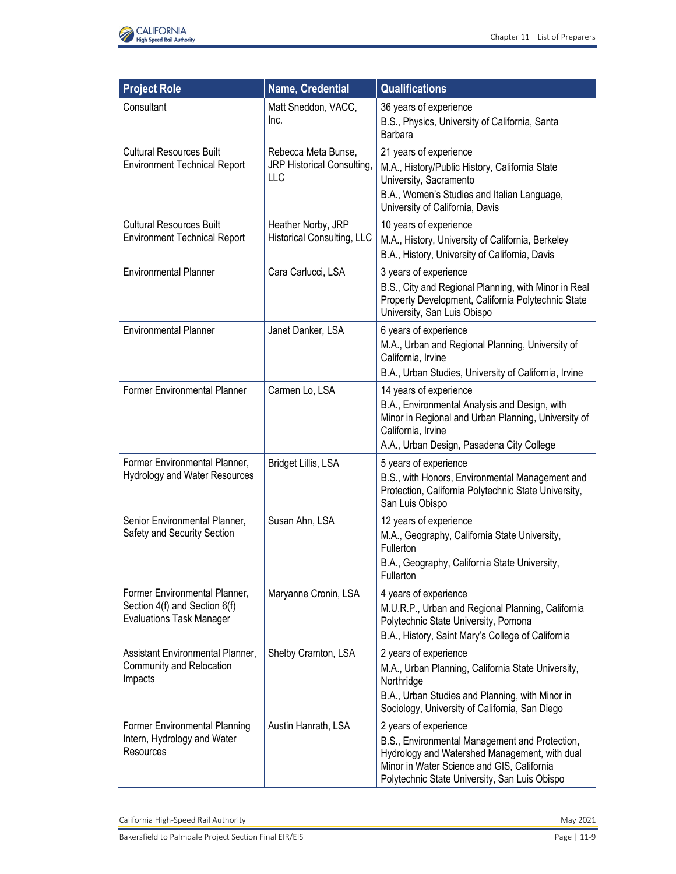

| <b>Project Role</b>                                                                               | Name, Credential                                         | <b>Qualifications</b>                                                                                                                                                                                                   |
|---------------------------------------------------------------------------------------------------|----------------------------------------------------------|-------------------------------------------------------------------------------------------------------------------------------------------------------------------------------------------------------------------------|
| Consultant                                                                                        | Matt Sneddon, VACC,<br>Inc.                              | 36 years of experience<br>B.S., Physics, University of California, Santa<br>Barbara                                                                                                                                     |
| <b>Cultural Resources Built</b><br><b>Environment Technical Report</b>                            | Rebecca Meta Bunse,<br>JRP Historical Consulting,<br>LLC | 21 years of experience<br>M.A., History/Public History, California State<br>University, Sacramento<br>B.A., Women's Studies and Italian Language,<br>University of California, Davis                                    |
| <b>Cultural Resources Built</b><br><b>Environment Technical Report</b>                            | Heather Norby, JRP<br><b>Historical Consulting, LLC</b>  | 10 years of experience<br>M.A., History, University of California, Berkeley<br>B.A., History, University of California, Davis                                                                                           |
| <b>Environmental Planner</b>                                                                      | Cara Carlucci, LSA                                       | 3 years of experience<br>B.S., City and Regional Planning, with Minor in Real<br>Property Development, California Polytechnic State<br>University, San Luis Obispo                                                      |
| <b>Environmental Planner</b>                                                                      | Janet Danker, LSA                                        | 6 years of experience<br>M.A., Urban and Regional Planning, University of<br>California, Irvine<br>B.A., Urban Studies, University of California, Irvine                                                                |
| Former Environmental Planner                                                                      | Carmen Lo, LSA                                           | 14 years of experience<br>B.A., Environmental Analysis and Design, with<br>Minor in Regional and Urban Planning, University of<br>California, Irvine                                                                    |
| Former Environmental Planner,<br>Hydrology and Water Resources                                    | Bridget Lillis, LSA                                      | A.A., Urban Design, Pasadena City College<br>5 years of experience<br>B.S., with Honors, Environmental Management and<br>Protection, California Polytechnic State University,<br>San Luis Obispo                        |
| Senior Environmental Planner,<br>Safety and Security Section                                      | Susan Ahn, LSA                                           | 12 years of experience<br>M.A., Geography, California State University,<br>Fullerton<br>B.A., Geography, California State University,<br>Fullerton                                                                      |
| Former Environmental Planner,<br>Section 4(f) and Section 6(f)<br><b>Evaluations Task Manager</b> | Maryanne Cronin, LSA                                     | 4 years of experience<br>M.U.R.P., Urban and Regional Planning, California<br>Polytechnic State University, Pomona<br>B.A., History, Saint Mary's College of California                                                 |
| Assistant Environmental Planner,<br>Community and Relocation<br>Impacts                           | Shelby Cramton, LSA                                      | 2 years of experience<br>M.A., Urban Planning, California State University,<br>Northridge<br>B.A., Urban Studies and Planning, with Minor in<br>Sociology, University of California, San Diego                          |
| Former Environmental Planning<br>Intern, Hydrology and Water<br>Resources                         | Austin Hanrath, LSA                                      | 2 years of experience<br>B.S., Environmental Management and Protection,<br>Hydrology and Watershed Management, with dual<br>Minor in Water Science and GIS, California<br>Polytechnic State University, San Luis Obispo |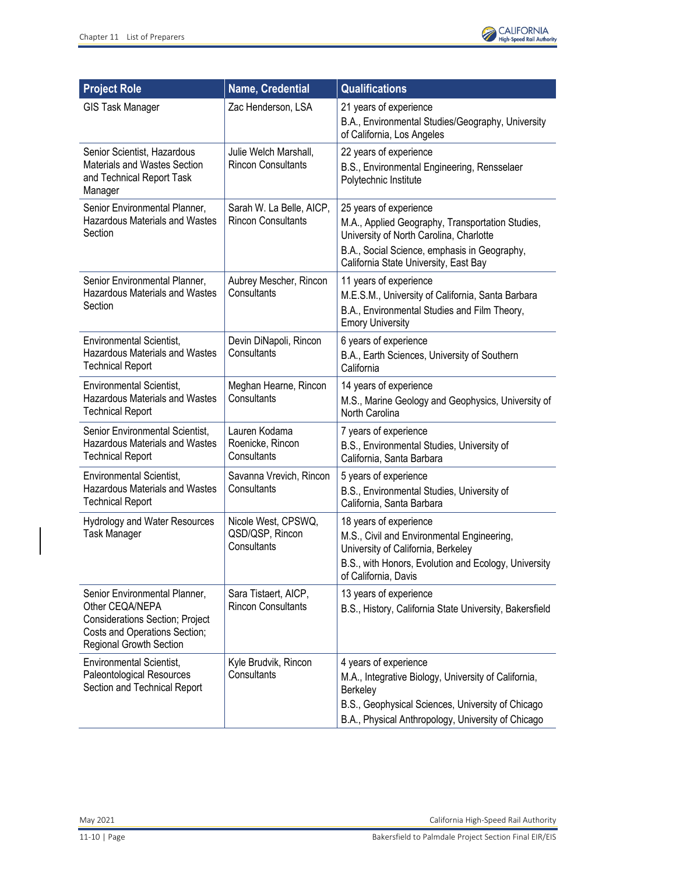

| <b>Project Role</b>                                                                                                                                    | <b>Name, Credential</b>                               | <b>Qualifications</b>                                                                                                                                                                                          |
|--------------------------------------------------------------------------------------------------------------------------------------------------------|-------------------------------------------------------|----------------------------------------------------------------------------------------------------------------------------------------------------------------------------------------------------------------|
| <b>GIS Task Manager</b>                                                                                                                                | Zac Henderson, LSA                                    | 21 years of experience<br>B.A., Environmental Studies/Geography, University<br>of California, Los Angeles                                                                                                      |
| Senior Scientist, Hazardous<br>Materials and Wastes Section<br>and Technical Report Task<br>Manager                                                    | Julie Welch Marshall,<br><b>Rincon Consultants</b>    | 22 years of experience<br>B.S., Environmental Engineering, Rensselaer<br>Polytechnic Institute                                                                                                                 |
| Senior Environmental Planner,<br><b>Hazardous Materials and Wastes</b><br>Section                                                                      | Sarah W. La Belle, AICP,<br><b>Rincon Consultants</b> | 25 years of experience<br>M.A., Applied Geography, Transportation Studies,<br>University of North Carolina, Charlotte<br>B.A., Social Science, emphasis in Geography,<br>California State University, East Bay |
| Senior Environmental Planner,<br><b>Hazardous Materials and Wastes</b><br>Section                                                                      | Aubrey Mescher, Rincon<br>Consultants                 | 11 years of experience<br>M.E.S.M., University of California, Santa Barbara<br>B.A., Environmental Studies and Film Theory,<br><b>Emory University</b>                                                         |
| <b>Environmental Scientist,</b><br><b>Hazardous Materials and Wastes</b><br><b>Technical Report</b>                                                    | Devin DiNapoli, Rincon<br>Consultants                 | 6 years of experience<br>B.A., Earth Sciences, University of Southern<br>California                                                                                                                            |
| <b>Environmental Scientist,</b><br><b>Hazardous Materials and Wastes</b><br><b>Technical Report</b>                                                    | Meghan Hearne, Rincon<br>Consultants                  | 14 years of experience<br>M.S., Marine Geology and Geophysics, University of<br>North Carolina                                                                                                                 |
| Senior Environmental Scientist,<br><b>Hazardous Materials and Wastes</b><br><b>Technical Report</b>                                                    | Lauren Kodama<br>Roenicke, Rincon<br>Consultants      | 7 years of experience<br>B.S., Environmental Studies, University of<br>California, Santa Barbara                                                                                                               |
| <b>Environmental Scientist,</b><br><b>Hazardous Materials and Wastes</b><br><b>Technical Report</b>                                                    | Savanna Vrevich, Rincon<br>Consultants                | 5 years of experience<br>B.S., Environmental Studies, University of<br>California, Santa Barbara                                                                                                               |
| <b>Hydrology and Water Resources</b><br><b>Task Manager</b>                                                                                            | Nicole West, CPSWQ,<br>QSD/QSP, Rincon<br>Consultants | 18 years of experience<br>M.S., Civil and Environmental Engineering,<br>University of California, Berkeley<br>B.S., with Honors, Evolution and Ecology, University<br>of California, Davis                     |
| Senior Environmental Planner,<br>Other CEQA/NEPA<br><b>Considerations Section; Project</b><br>Costs and Operations Section;<br>Regional Growth Section | Sara Tistaert, AICP,<br><b>Rincon Consultants</b>     | 13 years of experience<br>B.S., History, California State University, Bakersfield                                                                                                                              |
| <b>Environmental Scientist,</b><br>Paleontological Resources<br>Section and Technical Report                                                           | Kyle Brudvik, Rincon<br>Consultants                   | 4 years of experience<br>M.A., Integrative Biology, University of California,<br>Berkeley<br>B.S., Geophysical Sciences, University of Chicago<br>B.A., Physical Anthropology, University of Chicago           |

May 2021 California High-Speed Rail Authority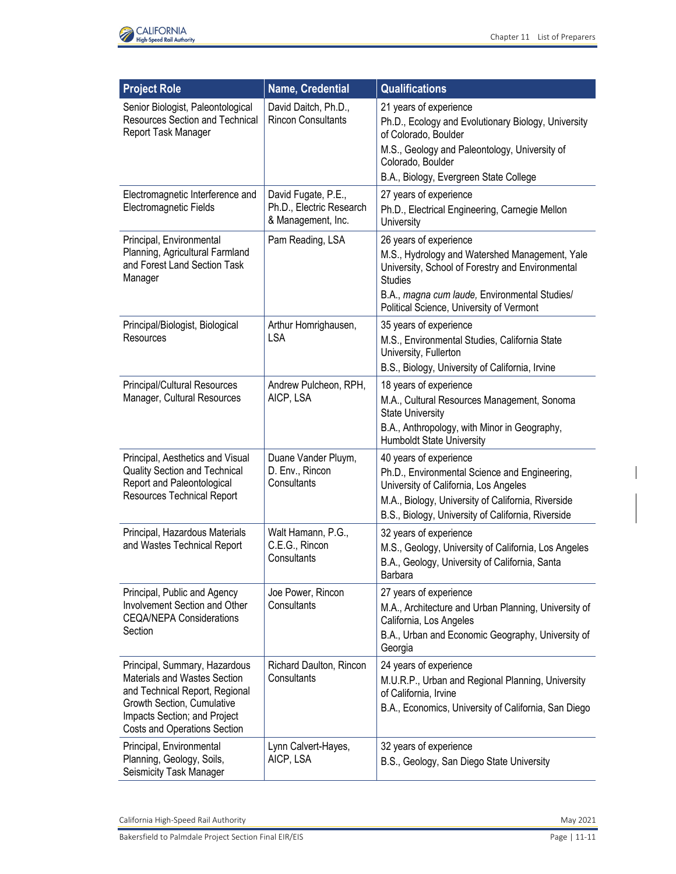

| <b>Project Role</b>                                                                                                                                                                           | Name, Credential                                                      | <b>Qualifications</b>                                                                                                                                                                                                        |
|-----------------------------------------------------------------------------------------------------------------------------------------------------------------------------------------------|-----------------------------------------------------------------------|------------------------------------------------------------------------------------------------------------------------------------------------------------------------------------------------------------------------------|
| Senior Biologist, Paleontological<br><b>Resources Section and Technical</b><br>Report Task Manager                                                                                            | David Daitch, Ph.D.,<br><b>Rincon Consultants</b>                     | 21 years of experience<br>Ph.D., Ecology and Evolutionary Biology, University<br>of Colorado, Boulder<br>M.S., Geology and Paleontology, University of<br>Colorado, Boulder<br>B.A., Biology, Evergreen State College        |
| Electromagnetic Interference and                                                                                                                                                              |                                                                       |                                                                                                                                                                                                                              |
| Electromagnetic Fields                                                                                                                                                                        | David Fugate, P.E.,<br>Ph.D., Electric Research<br>& Management, Inc. | 27 years of experience<br>Ph.D., Electrical Engineering, Carnegie Mellon<br>University                                                                                                                                       |
| Principal, Environmental<br>Planning, Agricultural Farmland<br>and Forest Land Section Task<br>Manager                                                                                        | Pam Reading, LSA                                                      | 26 years of experience<br>M.S., Hydrology and Watershed Management, Yale<br>University, School of Forestry and Environmental<br><b>Studies</b><br>B.A., magna cum laude, Environmental Studies/                              |
|                                                                                                                                                                                               |                                                                       | Political Science, University of Vermont                                                                                                                                                                                     |
| Principal/Biologist, Biological<br>Resources                                                                                                                                                  | Arthur Homrighausen,<br><b>LSA</b>                                    | 35 years of experience<br>M.S., Environmental Studies, California State<br>University, Fullerton<br>B.S., Biology, University of California, Irvine                                                                          |
| Principal/Cultural Resources                                                                                                                                                                  | Andrew Pulcheon, RPH,                                                 | 18 years of experience                                                                                                                                                                                                       |
| Manager, Cultural Resources                                                                                                                                                                   | AICP, LSA                                                             | M.A., Cultural Resources Management, Sonoma<br><b>State University</b><br>B.A., Anthropology, with Minor in Geography,<br><b>Humboldt State University</b>                                                                   |
| Principal, Aesthetics and Visual<br>Quality Section and Technical<br>Report and Paleontological<br><b>Resources Technical Report</b>                                                          | Duane Vander Pluym,<br>D. Env., Rincon<br>Consultants                 | 40 years of experience<br>Ph.D., Environmental Science and Engineering,<br>University of California, Los Angeles<br>M.A., Biology, University of California, Riverside<br>B.S., Biology, University of California, Riverside |
| Principal, Hazardous Materials<br>and Wastes Technical Report                                                                                                                                 | Walt Hamann, P.G.,<br>C.E.G., Rincon<br>Consultants                   | 32 years of experience<br>M.S., Geology, University of California, Los Angeles<br>B.A., Geology, University of California, Santa<br>Barbara                                                                                  |
| Principal, Public and Agency<br>Involvement Section and Other<br><b>CEQA/NEPA Considerations</b><br>Section                                                                                   | Joe Power, Rincon<br>Consultants                                      | 27 years of experience<br>M.A., Architecture and Urban Planning, University of<br>California, Los Angeles<br>B.A., Urban and Economic Geography, University of<br>Georgia                                                    |
| Principal, Summary, Hazardous<br>Materials and Wastes Section<br>and Technical Report, Regional<br>Growth Section, Cumulative<br>Impacts Section; and Project<br>Costs and Operations Section | Richard Daulton, Rincon<br>Consultants                                | 24 years of experience<br>M.U.R.P., Urban and Regional Planning, University<br>of California, Irvine<br>B.A., Economics, University of California, San Diego                                                                 |
| Principal, Environmental<br>Planning, Geology, Soils,<br>Seismicity Task Manager                                                                                                              | Lynn Calvert-Hayes,<br>AICP, LSA                                      | 32 years of experience<br>B.S., Geology, San Diego State University                                                                                                                                                          |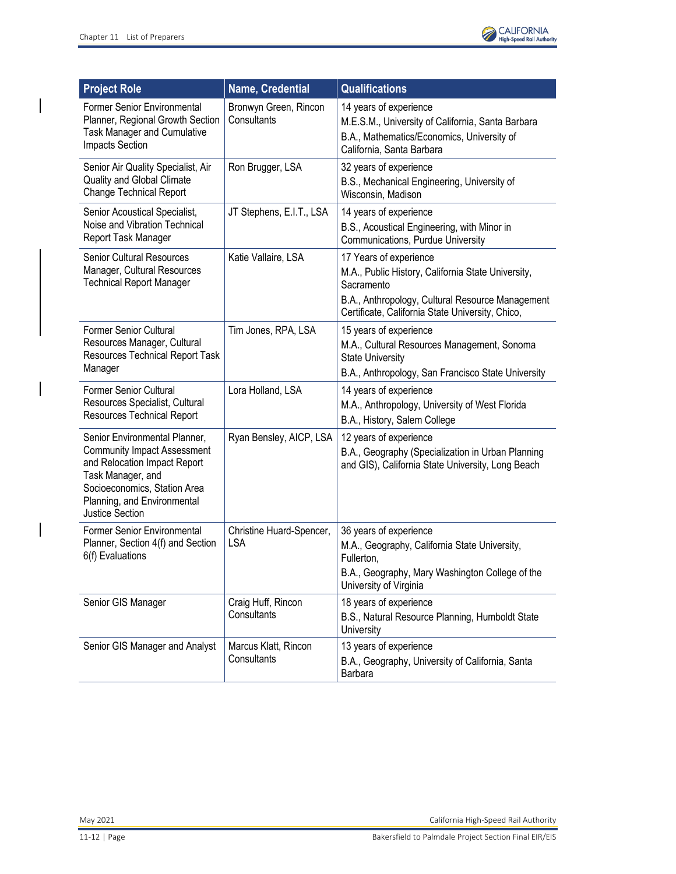$\overline{\phantom{a}}$ 

 $\overline{\phantom{a}}$ 



| <b>Project Role</b>                                                                                                                                                                                               | <b>Name, Credential</b>                | <b>Qualifications</b>                                                                                                                                                                              |
|-------------------------------------------------------------------------------------------------------------------------------------------------------------------------------------------------------------------|----------------------------------------|----------------------------------------------------------------------------------------------------------------------------------------------------------------------------------------------------|
| Former Senior Environmental<br>Planner, Regional Growth Section<br><b>Task Manager and Cumulative</b><br>Impacts Section                                                                                          | Bronwyn Green, Rincon<br>Consultants   | 14 years of experience<br>M.E.S.M., University of California, Santa Barbara<br>B.A., Mathematics/Economics, University of<br>California, Santa Barbara                                             |
| Senior Air Quality Specialist, Air<br><b>Quality and Global Climate</b><br><b>Change Technical Report</b>                                                                                                         | Ron Brugger, LSA                       | 32 years of experience<br>B.S., Mechanical Engineering, University of<br>Wisconsin, Madison                                                                                                        |
| Senior Acoustical Specialist,<br>Noise and Vibration Technical<br>Report Task Manager                                                                                                                             | JT Stephens, E.I.T., LSA               | 14 years of experience<br>B.S., Acoustical Engineering, with Minor in<br><b>Communications, Purdue University</b>                                                                                  |
| <b>Senior Cultural Resources</b><br>Manager, Cultural Resources<br><b>Technical Report Manager</b>                                                                                                                | Katie Vallaire, LSA                    | 17 Years of experience<br>M.A., Public History, California State University,<br>Sacramento<br>B.A., Anthropology, Cultural Resource Management<br>Certificate, California State University, Chico, |
| <b>Former Senior Cultural</b><br>Resources Manager, Cultural<br>Resources Technical Report Task<br>Manager                                                                                                        | Tim Jones, RPA, LSA                    | 15 years of experience<br>M.A., Cultural Resources Management, Sonoma<br><b>State University</b><br>B.A., Anthropology, San Francisco State University                                             |
| <b>Former Senior Cultural</b><br>Resources Specialist, Cultural<br><b>Resources Technical Report</b>                                                                                                              | Lora Holland, LSA                      | 14 years of experience<br>M.A., Anthropology, University of West Florida<br>B.A., History, Salem College                                                                                           |
| Senior Environmental Planner,<br><b>Community Impact Assessment</b><br>and Relocation Impact Report<br>Task Manager, and<br>Socioeconomics, Station Area<br>Planning, and Environmental<br><b>Justice Section</b> | Ryan Bensley, AICP, LSA                | 12 years of experience<br>B.A., Geography (Specialization in Urban Planning<br>and GIS), California State University, Long Beach                                                                   |
| <b>Former Senior Environmental</b><br>Planner, Section 4(f) and Section<br>6(f) Evaluations                                                                                                                       | Christine Huard-Spencer,<br><b>LSA</b> | 36 years of experience<br>M.A., Geography, California State University,<br>Fullerton,<br>B.A., Geography, Mary Washington College of the<br>University of Virginia                                 |
| Senior GIS Manager                                                                                                                                                                                                | Craig Huff, Rincon<br>Consultants      | 18 years of experience<br>B.S., Natural Resource Planning, Humboldt State<br>University                                                                                                            |
| Senior GIS Manager and Analyst                                                                                                                                                                                    | Marcus Klatt, Rincon<br>Consultants    | 13 years of experience<br>B.A., Geography, University of California, Santa<br>Barbara                                                                                                              |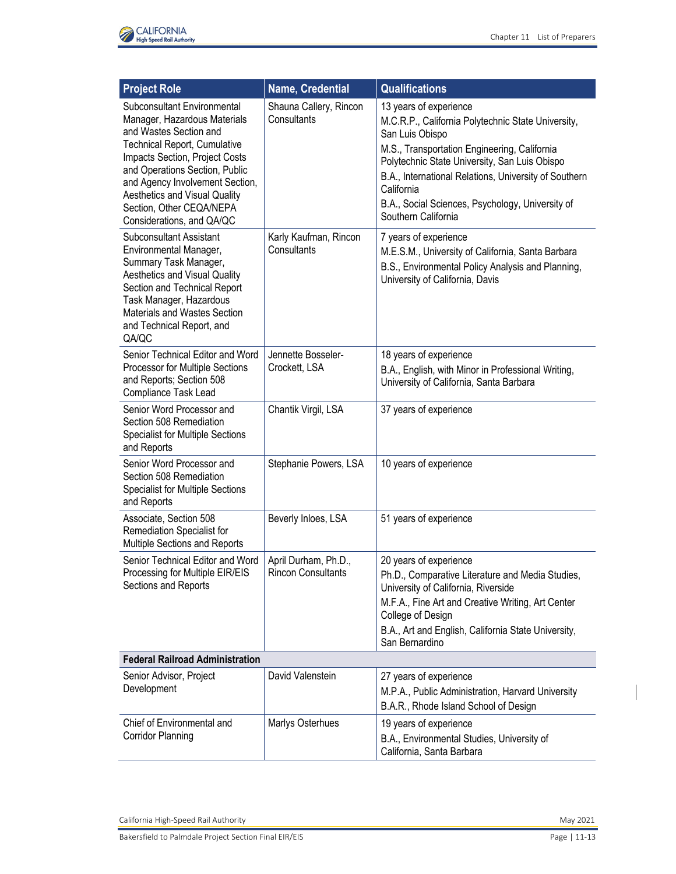

| <b>Project Role</b>                                                                                                                                                                                                                                                                                                           | Name, Credential                                  | <b>Qualifications</b>                                                                                                                                                                                                                                                                                                                              |
|-------------------------------------------------------------------------------------------------------------------------------------------------------------------------------------------------------------------------------------------------------------------------------------------------------------------------------|---------------------------------------------------|----------------------------------------------------------------------------------------------------------------------------------------------------------------------------------------------------------------------------------------------------------------------------------------------------------------------------------------------------|
| Subconsultant Environmental<br>Manager, Hazardous Materials<br>and Wastes Section and<br><b>Technical Report, Cumulative</b><br>Impacts Section, Project Costs<br>and Operations Section, Public<br>and Agency Involvement Section,<br>Aesthetics and Visual Quality<br>Section, Other CEQA/NEPA<br>Considerations, and QA/QC | Shauna Callery, Rincon<br>Consultants             | 13 years of experience<br>M.C.R.P., California Polytechnic State University,<br>San Luis Obispo<br>M.S., Transportation Engineering, California<br>Polytechnic State University, San Luis Obispo<br>B.A., International Relations, University of Southern<br>California<br>B.A., Social Sciences, Psychology, University of<br>Southern California |
| <b>Subconsultant Assistant</b><br>Environmental Manager,<br>Summary Task Manager,<br><b>Aesthetics and Visual Quality</b><br>Section and Technical Report<br>Task Manager, Hazardous<br>Materials and Wastes Section<br>and Technical Report, and<br>QA/QC                                                                    | Karly Kaufman, Rincon<br>Consultants              | 7 years of experience<br>M.E.S.M., University of California, Santa Barbara<br>B.S., Environmental Policy Analysis and Planning,<br>University of California, Davis                                                                                                                                                                                 |
| Senior Technical Editor and Word<br>Processor for Multiple Sections<br>and Reports; Section 508<br>Compliance Task Lead                                                                                                                                                                                                       | Jennette Bosseler-<br>Crockett, LSA               | 18 years of experience<br>B.A., English, with Minor in Professional Writing,<br>University of California, Santa Barbara                                                                                                                                                                                                                            |
| Senior Word Processor and<br>Section 508 Remediation<br><b>Specialist for Multiple Sections</b><br>and Reports                                                                                                                                                                                                                | Chantik Virgil, LSA                               | 37 years of experience                                                                                                                                                                                                                                                                                                                             |
| Senior Word Processor and<br>Section 508 Remediation<br><b>Specialist for Multiple Sections</b><br>and Reports                                                                                                                                                                                                                | Stephanie Powers, LSA                             | 10 years of experience                                                                                                                                                                                                                                                                                                                             |
| Associate, Section 508<br>Remediation Specialist for<br>Multiple Sections and Reports                                                                                                                                                                                                                                         | Beverly Inloes, LSA                               | 51 years of experience                                                                                                                                                                                                                                                                                                                             |
| Senior Technical Editor and Word<br>Processing for Multiple EIR/EIS<br>Sections and Reports                                                                                                                                                                                                                                   | April Durham, Ph.D.,<br><b>Rincon Consultants</b> | 20 years of experience                                                                                                                                                                                                                                                                                                                             |
|                                                                                                                                                                                                                                                                                                                               |                                                   | Ph.D., Comparative Literature and Media Studies,<br>University of California, Riverside<br>M.F.A., Fine Art and Creative Writing, Art Center                                                                                                                                                                                                       |
|                                                                                                                                                                                                                                                                                                                               |                                                   | College of Design                                                                                                                                                                                                                                                                                                                                  |
|                                                                                                                                                                                                                                                                                                                               |                                                   | B.A., Art and English, California State University,<br>San Bernardino                                                                                                                                                                                                                                                                              |
| <b>Federal Railroad Administration</b>                                                                                                                                                                                                                                                                                        |                                                   |                                                                                                                                                                                                                                                                                                                                                    |
| Senior Advisor, Project<br>Development                                                                                                                                                                                                                                                                                        | David Valenstein                                  | 27 years of experience<br>M.P.A., Public Administration, Harvard University<br>B.A.R., Rhode Island School of Design                                                                                                                                                                                                                               |
| Chief of Environmental and<br><b>Corridor Planning</b>                                                                                                                                                                                                                                                                        | Marlys Osterhues                                  | 19 years of experience<br>B.A., Environmental Studies, University of<br>California, Santa Barbara                                                                                                                                                                                                                                                  |